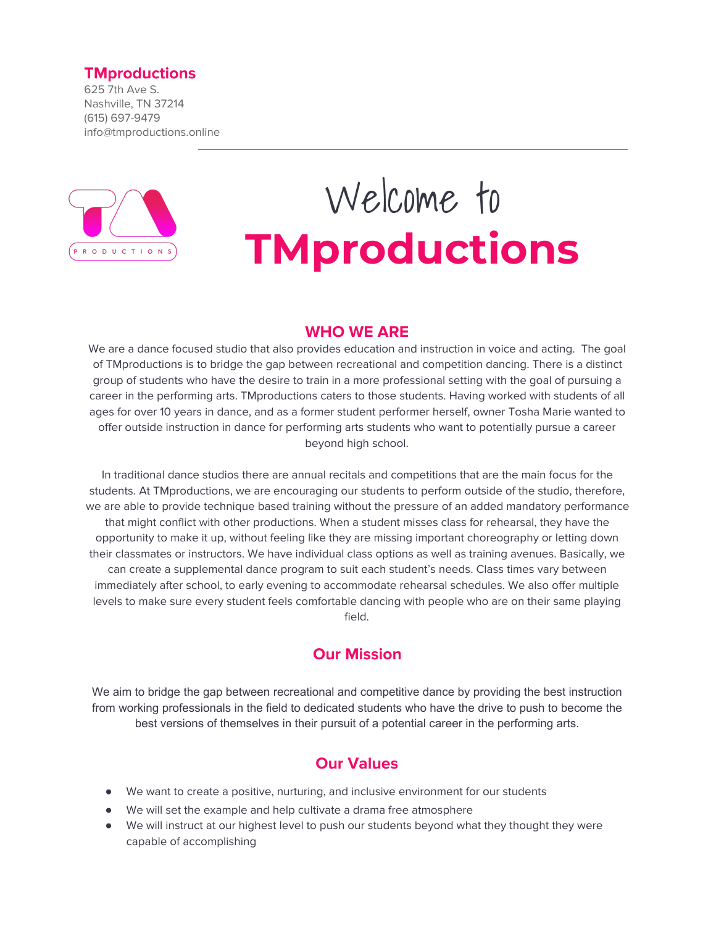## **TMproductions**

625 7th Ave S. Nashville, TN 37214 (615) 697-9479 info@tmproductions.online



# Welcome to **TMproductions**

## **WHO WE ARE**

We are a dance focused studio that also provides education and instruction in voice and acting. The goal of TMproductions is to bridge the gap between recreational and competition dancing. There is a distinct group of students who have the desire to train in a more professional setting with the goal of pursuing a career in the performing arts. TMproductions caters to those students. Having worked with students of all ages for over 10 years in dance, and as a former student performer herself, owner Tosha Marie wanted to offer outside instruction in dance for performing arts students who want to potentially pursue a career beyond high school.

In traditional dance studios there are annual recitals and competitions that are the main focus for the students. At TMproductions, we are encouraging our students to perform outside of the studio, therefore, we are able to provide technique based training without the pressure of an added mandatory performance that might conflict with other productions. When a student misses class for rehearsal, they have the opportunity to make it up, without feeling like they are missing important choreography or letting down their classmates or instructors. We have individual class options as well as training avenues. Basically, we can create a supplemental dance program to suit each student's needs. Class times vary between immediately after school, to early evening to accommodate rehearsal schedules. We also offer multiple levels to make sure every student feels comfortable dancing with people who are on their same playing field.

## **Our Mission**

We aim to bridge the gap between recreational and competitive dance by providing the best instruction from working professionals in the field to dedicated students who have the drive to push to become the best versions of themselves in their pursuit of a potential career in the performing arts.

## **Our Values**

- We want to create a positive, nurturing, and inclusive environment for our students
- We will set the example and help cultivate a drama free atmosphere
- We will instruct at our highest level to push our students beyond what they thought they were capable of accomplishing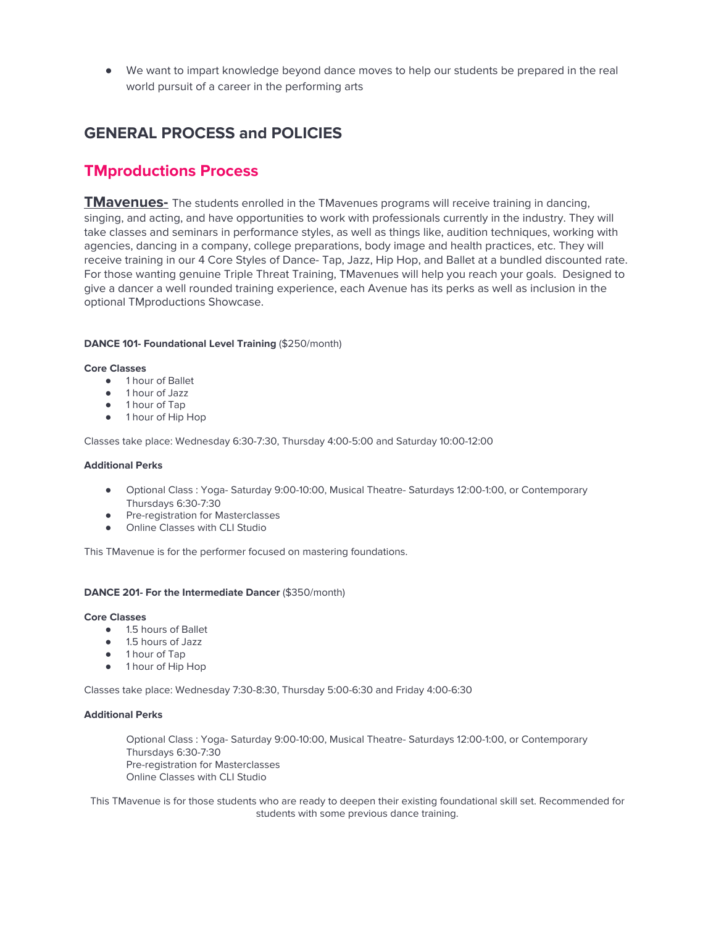We want to impart knowledge beyond dance moves to help our students be prepared in the real world pursuit of a career in the performing arts

## **GENERAL PROCESS and POLICIES**

## **TMproductions Process**

**TMavenues-** The students enrolled in the TMavenues programs will receive training in dancing, singing, and acting, and have opportunities to work with professionals currently in the industry. They will take classes and seminars in performance styles, as well as things like, audition techniques, working with agencies, dancing in a company, college preparations, body image and health practices, etc. They will receive training in our 4 Core Styles of Dance- Tap, Jazz, Hip Hop, and Ballet at a bundled discounted rate. For those wanting genuine Triple Threat Training, TMavenues will help you reach your goals. Designed to give a dancer a well rounded training experience, each Avenue has its perks as well as inclusion in the optional TMproductions Showcase.

#### **DANCE 101- Foundational Level Training** (\$250/month)

#### **Core Classes**

- 1 hour of Ballet
- 1 hour of Jazz
- 1 hour of Tap
- 1 hour of Hip Hop

Classes take place: Wednesday 6:30-7:30, Thursday 4:00-5:00 and Saturday 10:00-12:00

#### **Additional Perks**

- Optional Class : Yoga- Saturday 9:00-10:00, Musical Theatre- Saturdays 12:00-1:00, or Contemporary Thursdays 6:30-7:30
- Pre-registration for Masterclasses
- **•** Online Classes with CLI Studio

This TMavenue is for the performer focused on mastering foundations.

#### **DANCE 201- For the Intermediate Dancer** (\$350/month)

#### **Core Classes**

- 1.5 hours of Ballet
- 1.5 hours of Jazz
- 1 hour of Tap
- 1 hour of Hip Hop

Classes take place: Wednesday 7:30-8:30, Thursday 5:00-6:30 and Friday 4:00-6:30

#### **Additional Perks**

● Optional Class : Yoga- Saturday 9:00-10:00, Musical Theatre- Saturdays 12:00-1:00, or Contemporary Thursdays 6:30-7:30 Pre-registration for Masterclasses Online Classes with CLI Studio

This TMavenue is for those students who are ready to deepen their existing foundational skill set. Recommended for students with some previous dance training.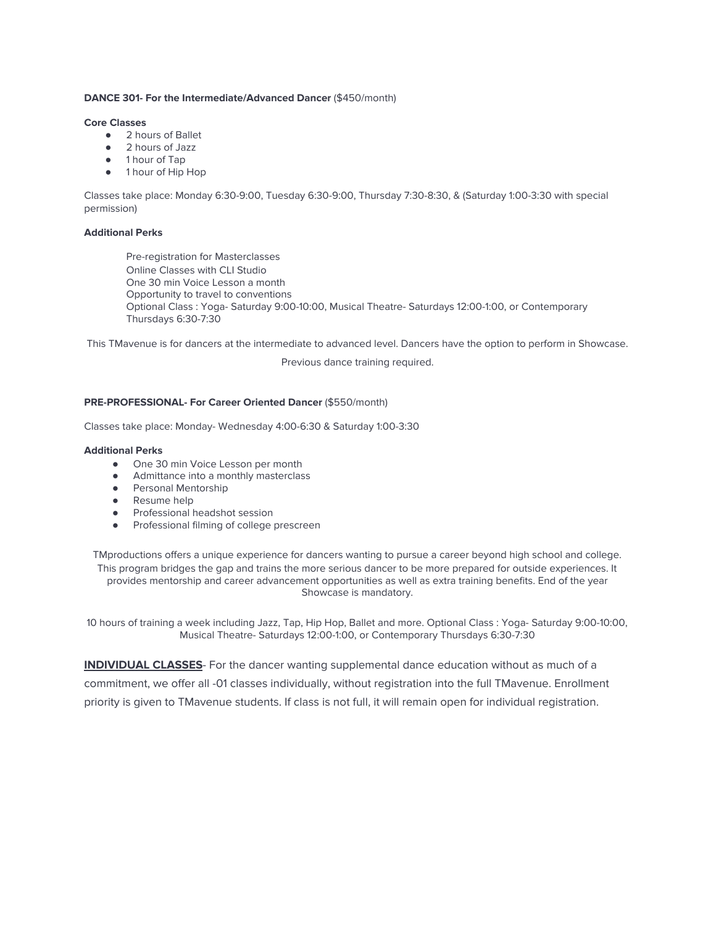#### **DANCE 301- For the Intermediate/Advanced Dancer** (\$450/month)

#### **Core Classes**

- 2 hours of Ballet
- 2 hours of Jazz
- 1 hour of Tap
- 1 hour of Hip Hop

Classes take place: Monday 6:30-9:00, Tuesday 6:30-9:00, Thursday 7:30-8:30, & (Saturday 1:00-3:30 with special permission)

#### **Additional Perks**

Pre-registration for Masterclasses Online Classes with CLI Studio One 30 min Voice Lesson a month Opportunity to travel to conventions ● Optional Class : Yoga- Saturday 9:00-10:00, Musical Theatre- Saturdays 12:00-1:00, or Contemporary Thursdays 6:30-7:30

This TMavenue is for dancers at the intermediate to advanced level. Dancers have the option to perform in Showcase.

Previous dance training required.

#### **PRE-PROFESSIONAL- For Career Oriented Dancer** (\$550/month)

Classes take place: Monday- Wednesday 4:00-6:30 & Saturday 1:00-3:30

#### **Additional Perks**

- One 30 min Voice Lesson per month
- Admittance into a monthly masterclass
- Personal Mentorship
- Resume help
- Professional headshot session
- Professional filming of college prescreen

TMproductions offers a unique experience for dancers wanting to pursue a career beyond high school and college. This program bridges the gap and trains the more serious dancer to be more prepared for outside experiences. It provides mentorship and career advancement opportunities as well as extra training benefits. End of the year Showcase is mandatory.

10 hours of training a week including Jazz, Tap, Hip Hop, Ballet and more. Optional Class : Yoga- Saturday 9:00-10:00, Musical Theatre- Saturdays 12:00-1:00, or Contemporary Thursdays 6:30-7:30

**INDIVIDUAL CLASSES**- For the dancer wanting supplemental dance education without as much of a commitment, we offer all -01 classes individually, without registration into the full TMavenue. Enrollment priority is given to TMavenue students. If class is not full, it will remain open for individual registration.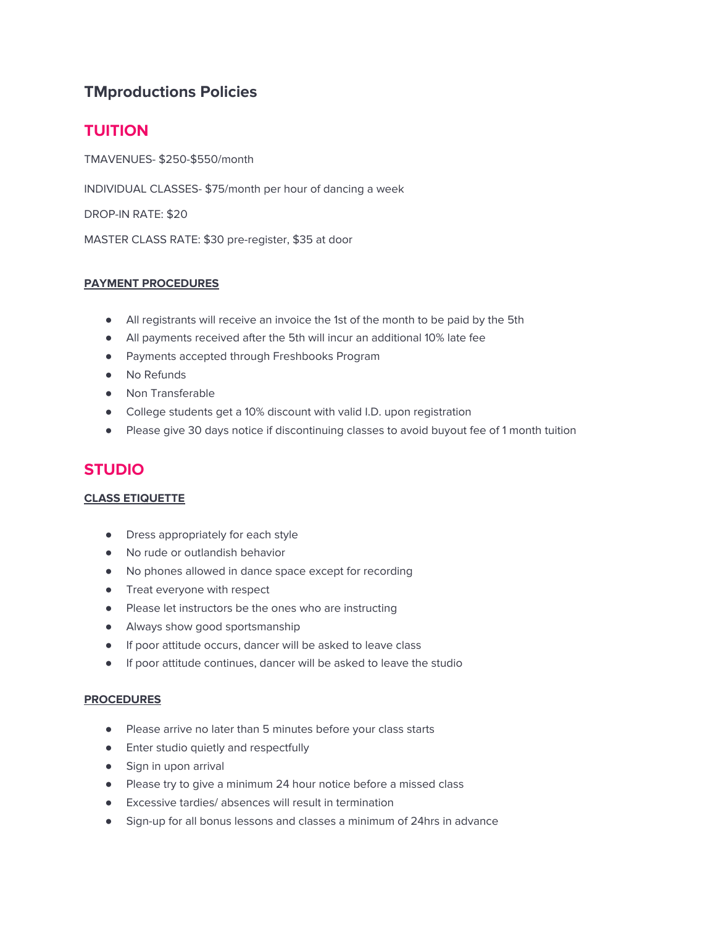# **TMproductions Policies**

# **TUITION**

TMAVENUES- \$250-\$550/month

INDIVIDUAL CLASSES- \$75/month per hour of dancing a week

DROP-IN RATE: \$20

MASTER CLASS RATE: \$30 pre-register, \$35 at door

## **PAYMENT PROCEDURES**

- All registrants will receive an invoice the 1st of the month to be paid by the 5th
- All payments received after the 5th will incur an additional 10% late fee
- Payments accepted through Freshbooks Program
- No Refunds
- Non Transferable
- College students get a 10% discount with valid I.D. upon registration
- Please give 30 days notice if discontinuing classes to avoid buyout fee of 1 month tuition

## **STUDIO**

## **CLASS ETIQUETTE**

- Dress appropriately for each style
- No rude or outlandish behavior
- No phones allowed in dance space except for recording
- Treat everyone with respect
- Please let instructors be the ones who are instructing
- Always show good sportsmanship
- If poor attitude occurs, dancer will be asked to leave class
- If poor attitude continues, dancer will be asked to leave the studio

### **PROCEDURES**

- Please arrive no later than 5 minutes before your class starts
- Enter studio quietly and respectfully
- Sign in upon arrival
- Please try to give a minimum 24 hour notice before a missed class
- Excessive tardies/ absences will result in termination
- Sign-up for all bonus lessons and classes a minimum of 24hrs in advance